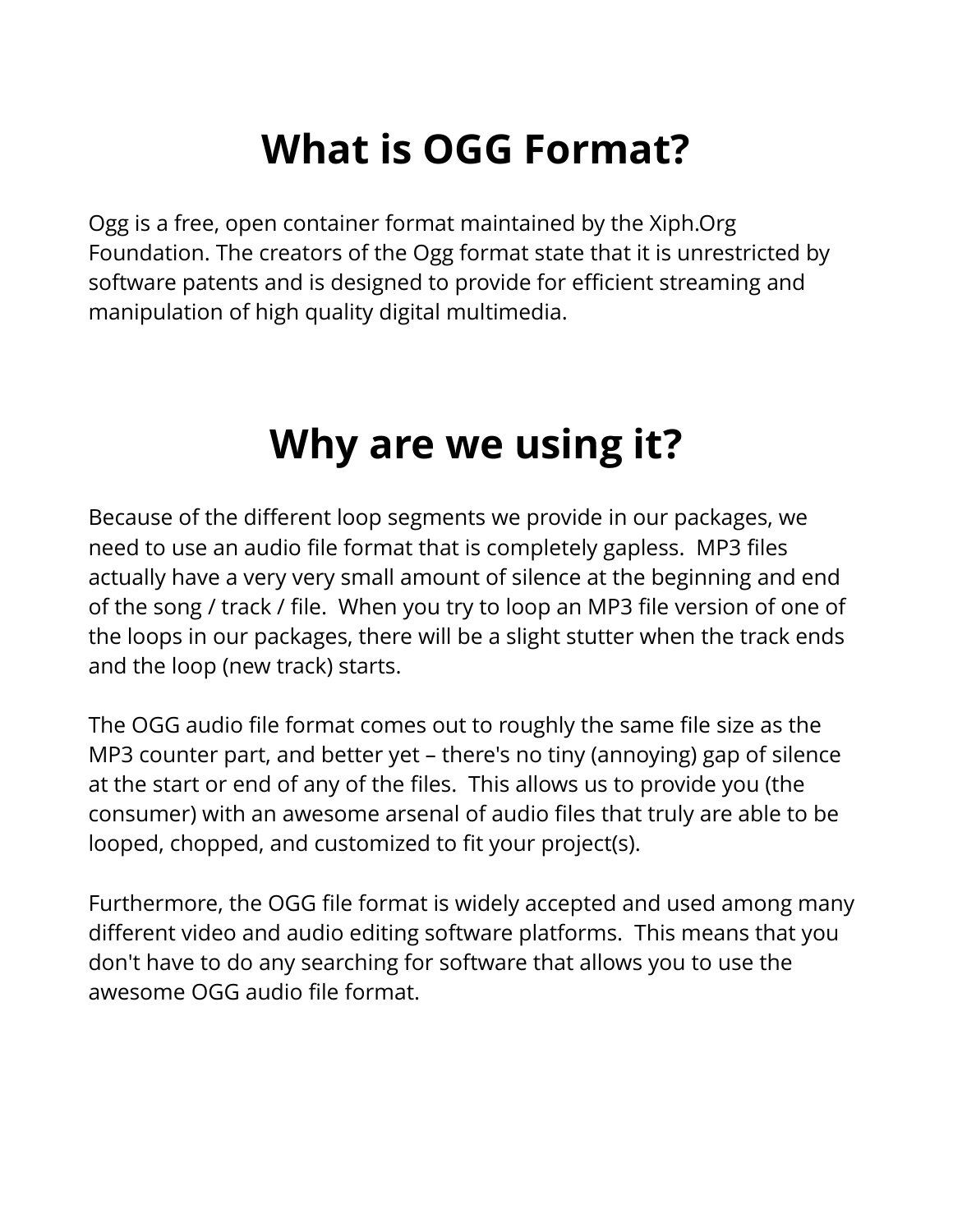## **What is OGG Format?**

Ogg is a free, open container format maintained by the Xiph.Org Foundation. The creators of the Ogg format state that it is unrestricted by software patents and is designed to provide for efficient streaming and manipulation of high quality digital multimedia.

## **Why are we using it?**

Because of the different loop segments we provide in our packages, we need to use an audio file format that is completely gapless. MP3 files actually have a very very small amount of silence at the beginning and end of the song / track / file. When you try to loop an MP3 file version of one of the loops in our packages, there will be a slight stutter when the track ends and the loop (new track) starts.

The OGG audio file format comes out to roughly the same file size as the MP3 counter part, and better yet – there's no tiny (annoying) gap of silence at the start or end of any of the files. This allows us to provide you (the consumer) with an awesome arsenal of audio files that truly are able to be looped, chopped, and customized to fit your project(s).

Furthermore, the OGG file format is widely accepted and used among many different video and audio editing software platforms. This means that you don't have to do any searching for software that allows you to use the awesome OGG audio file format.